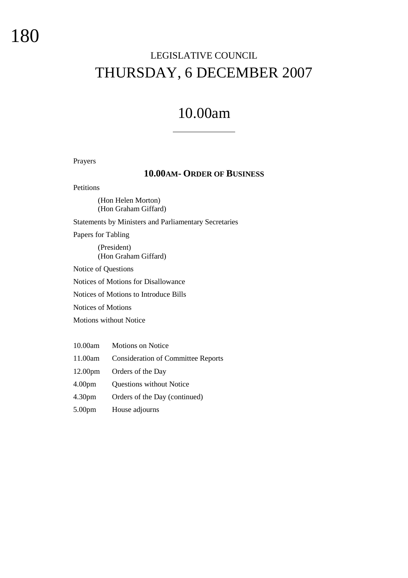# LEGISLATIVE COUNCIL THURSDAY, 6 DECEMBER 2007

# 10.00am

# Prayers

# **10.00AM- ORDER OF BUSINESS**

Petitions

(Hon Helen Morton) (Hon Graham Giffard)

Statements by Ministers and Parliamentary Secretaries

Papers for Tabling

(President) (Hon Graham Giffard)

Notice of Questions

Notices of Motions for Disallowance

Notices of Motions to Introduce Bills

Notices of Motions

Motions without Notice

| 10.00am             | <b>Motions on Notice</b>                  |
|---------------------|-------------------------------------------|
| 11.00am             | <b>Consideration of Committee Reports</b> |
| 12.00 <sub>pm</sub> | Orders of the Day                         |
| 4.00 <sub>pm</sub>  | Questions without Notice                  |
| 4.30 <sub>pm</sub>  | Orders of the Day (continued)             |
| 5.00 <sub>pm</sub>  | House adjourns                            |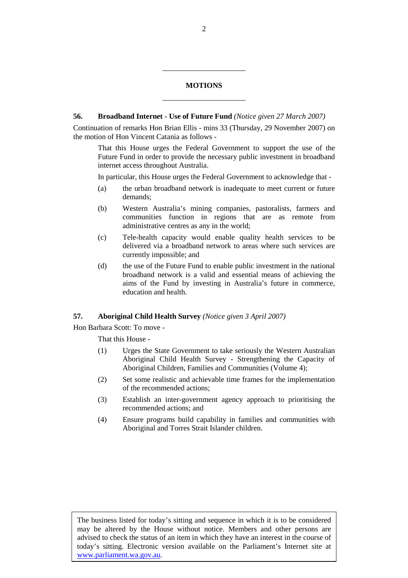# **MOTIONS**

l

# **56. Broadband Internet - Use of Future Fund** *(Notice given 27 March 2007)*

Continuation of remarks Hon Brian Ellis - mins 33 (Thursday, 29 November 2007) on the motion of Hon Vincent Catania as follows -

That this House urges the Federal Government to support the use of the Future Fund in order to provide the necessary public investment in broadband internet access throughout Australia.

In particular, this House urges the Federal Government to acknowledge that -

- (a) the urban broadband network is inadequate to meet current or future demands;
- (b) Western Australia's mining companies, pastoralists, farmers and communities function in regions that are as remote from administrative centres as any in the world;
- (c) Tele-health capacity would enable quality health services to be delivered via a broadband network to areas where such services are currently impossible; and
- (d) the use of the Future Fund to enable public investment in the national broadband network is a valid and essential means of achieving the aims of the Fund by investing in Australia's future in commerce, education and health.

### **57. Aboriginal Child Health Survey** *(Notice given 3 April 2007)*

Hon Barbara Scott: To move -

That this House -

- (1) Urges the State Government to take seriously the Western Australian Aboriginal Child Health Survey - Strengthening the Capacity of Aboriginal Children, Families and Communities (Volume 4);
- (2) Set some realistic and achievable time frames for the implementation of the recommended actions;
- (3) Establish an inter-government agency approach to prioritising the recommended actions; and
- (4) Ensure programs build capability in families and communities with Aboriginal and Torres Strait Islander children.

The business listed for today's sitting and sequence in which it is to be considered may be altered by the House without notice. Members and other persons are advised to check the status of an item in which they have an interest in the course of today's sitting. Electronic version available on the Parliament's Internet site at www.parliament.wa.gov.au.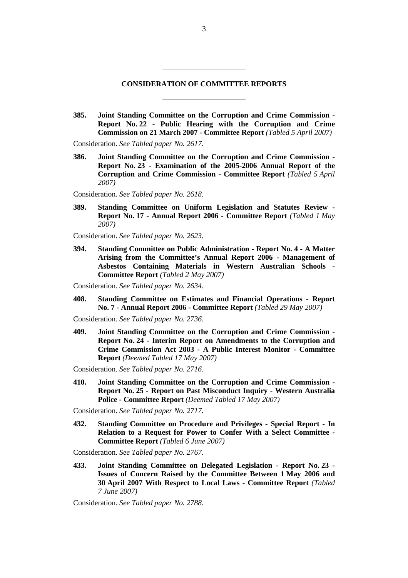# **CONSIDERATION OF COMMITTEE REPORTS**

**385. Joint Standing Committee on the Corruption and Crime Commission - Report No. 22 - Public Hearing with the Corruption and Crime Commission on 21 March 2007 - Committee Report** *(Tabled 5 April 2007)* 

Consideration. *See Tabled paper No. 2617*.

l

**386. Joint Standing Committee on the Corruption and Crime Commission - Report No. 23 - Examination of the 2005-2006 Annual Report of the Corruption and Crime Commission - Committee Report** *(Tabled 5 April 2007)* 

Consideration. *See Tabled paper No. 2618*.

**389. Standing Committee on Uniform Legislation and Statutes Review - Report No. 17 - Annual Report 2006 - Committee Report** *(Tabled 1 May 2007)* 

Consideration. *See Tabled paper No. 2623*.

**394. Standing Committee on Public Administration - Report No. 4 - A Matter Arising from the Committee's Annual Report 2006 - Management of Asbestos Containing Materials in Western Australian Schools - Committee Report** *(Tabled 2 May 2007)* 

Consideration. *See Tabled paper No. 2634*.

**408. Standing Committee on Estimates and Financial Operations - Report No. 7 - Annual Report 2006 - Committee Report** *(Tabled 29 May 2007)* 

Consideration. *See Tabled paper No. 2736.*

**409. Joint Standing Committee on the Corruption and Crime Commission - Report No. 24 - Interim Report on Amendments to the Corruption and Crime Commission Act 2003 - A Public Interest Monitor - Committee Report** *(Deemed Tabled 17 May 2007)* 

Consideration. *See Tabled paper No. 2716.* 

**410. Joint Standing Committee on the Corruption and Crime Commission - Report No. 25 - Report on Past Misconduct Inquiry - Western Australia Police - Committee Report** *(Deemed Tabled 17 May 2007)* 

Consideration. *See Tabled paper No. 2717.* 

**432. Standing Committee on Procedure and Privileges - Special Report - In Relation to a Request for Power to Confer With a Select Committee - Committee Report** *(Tabled 6 June 2007)* 

Consideration. *See Tabled paper No. 2767*.

**433. Joint Standing Committee on Delegated Legislation - Report No. 23 - Issues of Concern Raised by the Committee Between 1 May 2006 and 30 April 2007 With Respect to Local Laws - Committee Report** *(Tabled 7 June 2007)* 

Consideration. *See Tabled paper No. 2788*.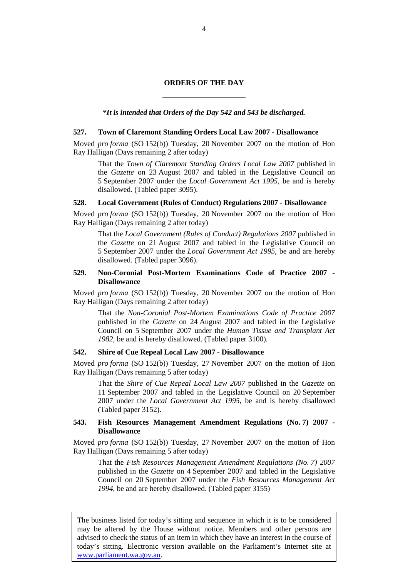### **ORDERS OF THE DAY**

l

*\*It is intended that Orders of the Day 542 and 543 be discharged.* 

#### **527. Town of Claremont Standing Orders Local Law 2007 - Disallowance**

Moved *pro forma* (SO 152(b)) Tuesday, 20 November 2007 on the motion of Hon Ray Halligan (Days remaining 2 after today)

That the *Town of Claremont Standing Orders Local Law 2007* published in the *Gazette* on 23 August 2007 and tabled in the Legislative Council on 5 September 2007 under the *Local Government Act 1995*, be and is hereby disallowed. (Tabled paper 3095).

#### **528. Local Government (Rules of Conduct) Regulations 2007 - Disallowance**

Moved *pro forma* (SO 152(b)) Tuesday, 20 November 2007 on the motion of Hon Ray Halligan (Days remaining 2 after today)

That the *Local Government (Rules of Conduct) Regulations 2007* published in the *Gazette* on 21 August 2007 and tabled in the Legislative Council on 5 September 2007 under the *Local Government Act 1995*, be and are hereby disallowed. (Tabled paper 3096).

#### **529. Non-Coronial Post-Mortem Examinations Code of Practice 2007 - Disallowance**

Moved *pro forma* (SO 152(b)) Tuesday, 20 November 2007 on the motion of Hon Ray Halligan (Days remaining 2 after today)

That the *Non-Coronial Post-Mortem Examinations Code of Practice 2007* published in the *Gazette* on 24 August 2007 and tabled in the Legislative Council on 5 September 2007 under the *Human Tissue and Transplant Act 1982*, be and is hereby disallowed. (Tabled paper 3100).

#### **542. Shire of Cue Repeal Local Law 2007 - Disallowance**

Moved *pro forma* (SO 152(b)) Tuesday, 27 November 2007 on the motion of Hon Ray Halligan (Days remaining 5 after today)

That the *Shire of Cue Repeal Local Law 2007* published in the *Gazette* on 11 September 2007 and tabled in the Legislative Council on 20 September 2007 under the *Local Government Act 1995*, be and is hereby disallowed (Tabled paper 3152).

#### **543. Fish Resources Management Amendment Regulations (No. 7) 2007 - Disallowance**

Moved *pro forma* (SO 152(b)) Tuesday, 27 November 2007 on the motion of Hon Ray Halligan (Days remaining 5 after today)

That the *Fish Resources Management Amendment Regulations (No. 7) 2007* published in the *Gazette* on 4 September 2007 and tabled in the Legislative Council on 20 September 2007 under the *Fish Resources Management Act 1994*, be and are hereby disallowed. (Tabled paper 3155)

The business listed for today's sitting and sequence in which it is to be considered may be altered by the House without notice. Members and other persons are advised to check the status of an item in which they have an interest in the course of today's sitting. Electronic version available on the Parliament's Internet site at www.parliament.wa.gov.au.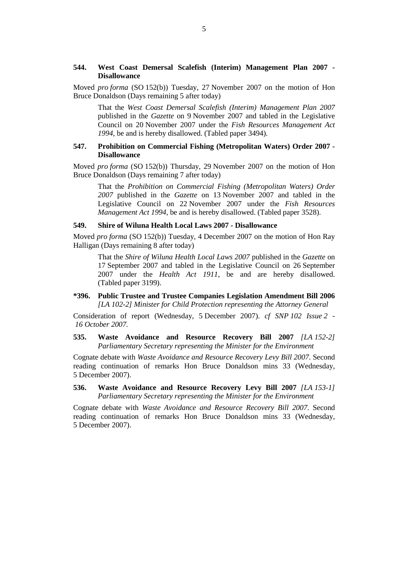#### **544. West Coast Demersal Scalefish (Interim) Management Plan 2007 - Disallowance**

Moved *pro forma* (SO 152(b)) Tuesday, 27 November 2007 on the motion of Hon Bruce Donaldson (Days remaining 5 after today)

That the *West Coast Demersal Scalefish (Interim) Management Plan 2007* published in the *Gazette* on 9 November 2007 and tabled in the Legislative Council on 20 November 2007 under the *Fish Resources Management Act 1994*, be and is hereby disallowed. (Tabled paper 3494).

# **547. Prohibition on Commercial Fishing (Metropolitan Waters) Order 2007 - Disallowance**

Moved *pro forma* (SO 152(b)) Thursday, 29 November 2007 on the motion of Hon Bruce Donaldson (Days remaining 7 after today)

That the *Prohibition on Commercial Fishing (Metropolitan Waters) Order 2007* published in the *Gazette* on 13 November 2007 and tabled in the Legislative Council on 22 November 2007 under the *Fish Resources Management Act 1994*, be and is hereby disallowed. (Tabled paper 3528).

#### **549. Shire of Wiluna Health Local Laws 2007 - Disallowance**

Moved *pro forma* (SO 152(b)) Tuesday, 4 December 2007 on the motion of Hon Ray Halligan (Days remaining 8 after today)

That the *Shire of Wiluna Health Local Laws 2007* published in the *Gazette* on 17 September 2007 and tabled in the Legislative Council on 26 September 2007 under the *Health Act 1911*, be and are hereby disallowed. (Tabled paper 3199).

# **\*396. Public Trustee and Trustee Companies Legislation Amendment Bill 2006**  *[LA 102-2] Minister for Child Protection representing the Attorney General*

Consideration of report (Wednesday, 5 December 2007). *cf SNP 102 Issue 2 - 16 October 2007.*

# **535. Waste Avoidance and Resource Recovery Bill 2007** *[LA 152-2] Parliamentary Secretary representing the Minister for the Environment*

Cognate debate with *Waste Avoidance and Resource Recovery Levy Bill 2007*. Second reading continuation of remarks Hon Bruce Donaldson mins 33 (Wednesday, 5 December 2007).

**536. Waste Avoidance and Resource Recovery Levy Bill 2007** *[LA 153-1] Parliamentary Secretary representing the Minister for the Environment* 

Cognate debate with *Waste Avoidance and Resource Recovery Bill 2007*. Second reading continuation of remarks Hon Bruce Donaldson mins 33 (Wednesday, 5 December 2007).